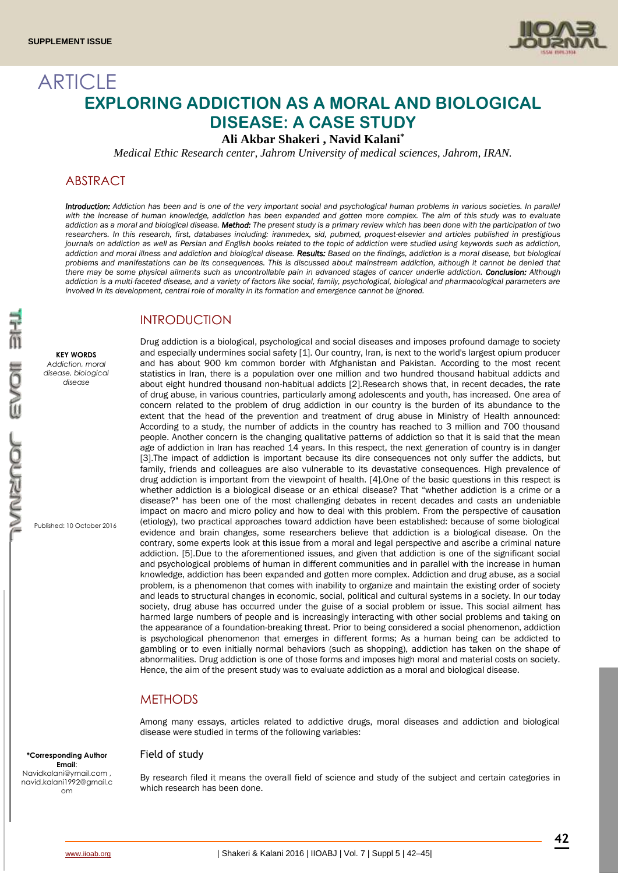

# ARTICLE **EXPLORING ADDICTION AS A MORAL AND BIOLOGICAL DISEASE: A CASE STUDY**

**Ali Akbar Shakeri , Navid Kalani\***

*Medical Ethic Research center, Jahrom University of medical sciences, Jahrom, IRAN.*

# ABSTRACT

*Introduction: Addiction has been and is one of the very important social and psychological human problems in various societies. In parallel*  with the increase of human knowledge, addiction has been expanded and gotten more complex. The aim of this study was to evaluate *addiction as a moral and biological disease. Method: The present study is a primary review which has been done with the participation of two researchers. In this research, first, databases including: iranmedex, sid, pubmed, proquest-elsevier and articles published in prestigious journals on addiction as well as Persian and English books related to the topic of addiction were studied using keywords such as addiction, addiction and moral illness and addiction and biological disease. Results: Based on the findings, addiction is a moral disease, but biological problems and manifestations can be its consequences. This is discussed about mainstream addiction, although it cannot be denied that there may be some physical ailments such as uncontrollable pain in advanced stages of cancer underlie addiction. Conclusion: Although addiction is a multi-faceted disease, and a variety of factors like social, family, psychological, biological and pharmacological parameters are involved in its development, central role of morality in its formation and emergence cannot be ignored.*

# INTRODUCTION

**KEY WORDS** *Addiction, moral disease, biological disease*

Published: 10 October 2016

Drug addiction is a biological, psychological and social diseases and imposes profound damage to society and especially undermines social safety [1]. Our country, Iran, is next to the world's largest opium producer and has about 900 km common border with Afghanistan and Pakistan. According to the most recent statistics in Iran, there is a population over one million and two hundred thousand habitual addicts and about eight hundred thousand non-habitual addicts [2].Research shows that, in recent decades, the rate of drug abuse, in various countries, particularly among adolescents and youth, has increased. One area of concern related to the problem of drug addiction in our country is the burden of its abundance to the extent that the head of the prevention and treatment of drug abuse in Ministry of Health announced: According to a study, the number of addicts in the country has reached to 3 million and 700 thousand people. Another concern is the changing qualitative patterns of addiction so that it is said that the mean age of addiction in Iran has reached 14 years. In this respect, the next generation of country is in danger [3].The impact of addiction is important because its dire consequences not only suffer the addicts, but family, friends and colleagues are also vulnerable to its devastative consequences. High prevalence of drug addiction is important from the viewpoint of health. [4].One of the basic questions in this respect is whether addiction is a biological disease or an ethical disease? That "whether addiction is a crime or a disease?" has been one of the most challenging debates in recent decades and casts an undeniable impact on macro and micro policy and how to deal with this problem. From the perspective of causation (etiology), two practical approaches toward addiction have been established: because of some biological evidence and brain changes, some researchers believe that addiction is a biological disease. On the contrary, some experts look at this issue from a moral and legal perspective and ascribe a criminal nature addiction. [5].Due to the aforementioned issues, and given that addiction is one of the significant social and psychological problems of human in different communities and in parallel with the increase in human knowledge, addiction has been expanded and gotten more complex. Addiction and drug abuse, as a social problem, is a phenomenon that comes with inability to organize and maintain the existing order of society and leads to structural changes in economic, social, political and cultural systems in a society. In our today society, drug abuse has occurred under the guise of a social problem or issue. This social ailment has harmed large numbers of people and is increasingly interacting with other social problems and taking on the appearance of a foundation-breaking threat. Prior to being considered a social phenomenon, addiction is psychological phenomenon that emerges in different forms; As a human being can be addicted to gambling or to even initially normal behaviors (such as shopping), addiction has taken on the shape of abnormalities. Drug addiction is one of those forms and imposes high moral and material costs on society. Hence, the aim of the present study was to evaluate addiction as a moral and biological disease.

# **METHODS**

Among many essays, articles related to addictive drugs, moral diseases and addiction and biological disease were studied in terms of the following variables:

# Field of study

By research filed it means the overall field of science and study of the subject and certain categories in which research has been done.

**\*Corresponding Author Email**: Navidkalani@ymail.com , navid.kalani1992@gmail.c om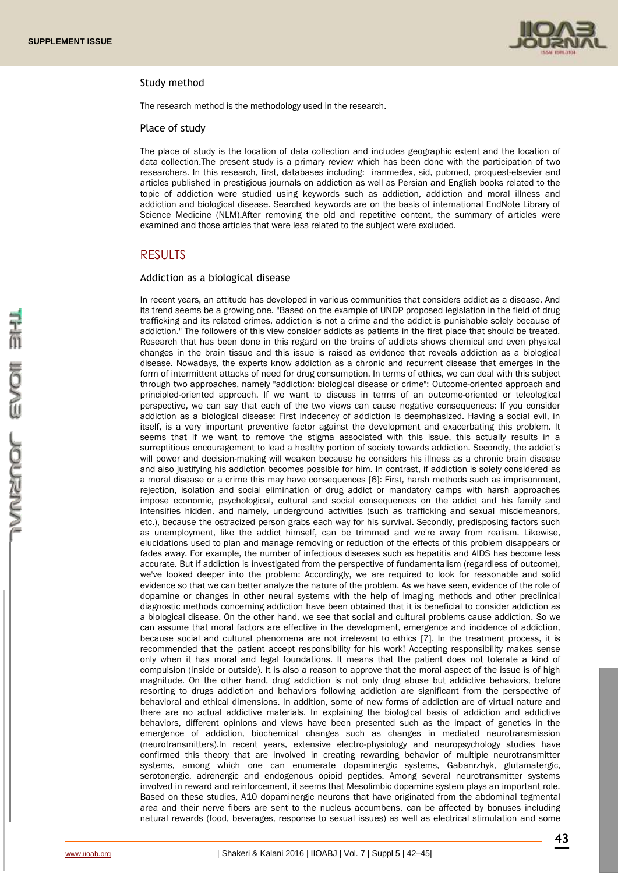

#### Study method

The research method is the methodology used in the research.

#### Place of study

The place of study is the location of data collection and includes geographic extent and the location of data collection.The present study is a primary review which has been done with the participation of two researchers. In this research, first, databases including: iranmedex, sid, pubmed, proquest-elsevier and articles published in prestigious journals on addiction as well as Persian and English books related to the topic of addiction were studied using keywords such as addiction, addiction and moral illness and addiction and biological disease. Searched keywords are on the basis of international EndNote Library of Science Medicine (NLM).After removing the old and repetitive content, the summary of articles were examined and those articles that were less related to the subject were excluded.

#### RESULTS

#### Addiction as a biological disease

In recent years, an attitude has developed in various communities that considers addict as a disease. And its trend seems be a growing one. "Based on the example of UNDP proposed legislation in the field of drug trafficking and its related crimes, addiction is not a crime and the addict is punishable solely because of addiction." The followers of this view consider addicts as patients in the first place that should be treated. Research that has been done in this regard on the brains of addicts shows chemical and even physical changes in the brain tissue and this issue is raised as evidence that reveals addiction as a biological disease. Nowadays, the experts know addiction as a chronic and recurrent disease that emerges in the form of intermittent attacks of need for drug consumption. In terms of ethics, we can deal with this subject through two approaches, namely "addiction: biological disease or crime": Outcome-oriented approach and principled-oriented approach. If we want to discuss in terms of an outcome-oriented or teleological perspective, we can say that each of the two views can cause negative consequences: If you consider addiction as a biological disease: First indecency of addiction is deemphasized. Having a social evil, in itself, is a very important preventive factor against the development and exacerbating this problem. It seems that if we want to remove the stigma associated with this issue, this actually results in a surreptitious encouragement to lead a healthy portion of society towards addiction. Secondly, the addict's will power and decision-making will weaken because he considers his illness as a chronic brain disease and also justifying his addiction becomes possible for him. In contrast, if addiction is solely considered as a moral disease or a crime this may have consequences [6]: First, harsh methods such as imprisonment, rejection, isolation and social elimination of drug addict or mandatory camps with harsh approaches impose economic, psychological, cultural and social consequences on the addict and his family and intensifies hidden, and namely, underground activities (such as trafficking and sexual misdemeanors, etc.), because the ostracized person grabs each way for his survival. Secondly, predisposing factors such as unemployment, like the addict himself, can be trimmed and we're away from realism. Likewise, elucidations used to plan and manage removing or reduction of the effects of this problem disappears or fades away. For example, the number of infectious diseases such as hepatitis and AIDS has become less accurate. But if addiction is investigated from the perspective of fundamentalism (regardless of outcome), we've looked deeper into the problem: Accordingly, we are required to look for reasonable and solid evidence so that we can better analyze the nature of the problem. As we have seen, evidence of the role of dopamine or changes in other neural systems with the help of imaging methods and other preclinical diagnostic methods concerning addiction have been obtained that it is beneficial to consider addiction as a biological disease. On the other hand, we see that social and cultural problems cause addiction. So we can assume that moral factors are effective in the development, emergence and incidence of addiction, because social and cultural phenomena are not irrelevant to ethics [7]. In the treatment process, it is recommended that the patient accept responsibility for his work! Accepting responsibility makes sense only when it has moral and legal foundations. It means that the patient does not tolerate a kind of compulsion (inside or outside). It is also a reason to approve that the moral aspect of the issue is of high magnitude. On the other hand, drug addiction is not only drug abuse but addictive behaviors, before resorting to drugs addiction and behaviors following addiction are significant from the perspective of behavioral and ethical dimensions. In addition, some of new forms of addiction are of virtual nature and there are no actual addictive materials. In explaining the biological basis of addiction and addictive behaviors, different opinions and views have been presented such as the impact of genetics in the emergence of addiction, biochemical changes such as changes in mediated neurotransmission (neurotransmitters).In recent years, extensive electro-physiology and neuropsychology studies have confirmed this theory that are involved in creating rewarding behavior of multiple neurotransmitter systems, among which one can enumerate dopaminergic systems, Gabanrzhyk, glutamatergic, serotonergic, adrenergic and endogenous opioid peptides. Among several neurotransmitter systems involved in reward and reinforcement, it seems that Mesolimbic dopamine system plays an important role. Based on these studies, A10 dopaminergic neurons that have originated from the abdominal tegmental area and their nerve fibers are sent to the nucleus accumbens, can be affected by bonuses including natural rewards (food, beverages, response to sexual issues) as well as electrical stimulation and some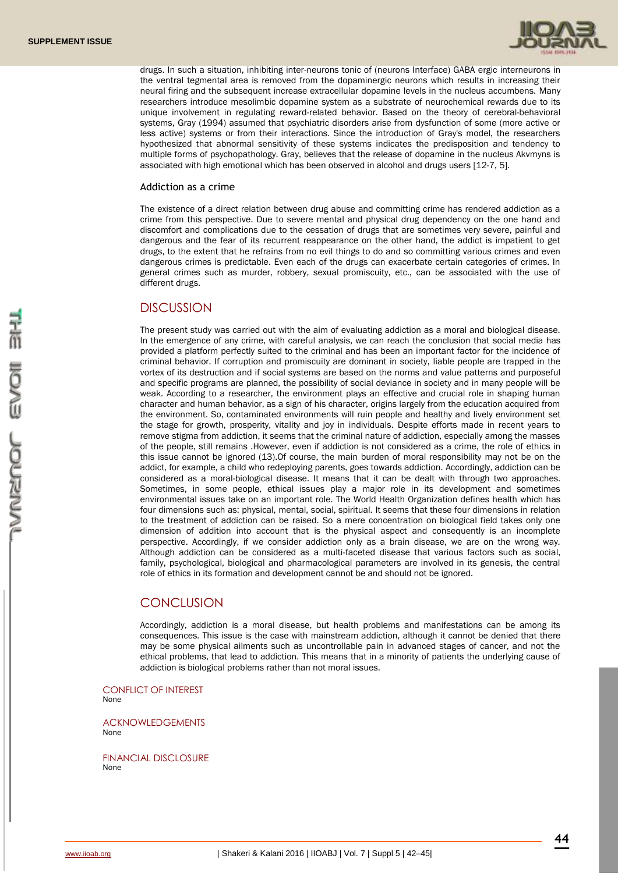

drugs. In such a situation, inhibiting inter-neurons tonic of (neurons Interface) GABA ergic interneurons in the ventral tegmental area is removed from the dopaminergic neurons which results in increasing their neural firing and the subsequent increase extracellular dopamine levels in the nucleus accumbens. Many researchers introduce mesolimbic dopamine system as a substrate of neurochemical rewards due to its unique involvement in regulating reward-related behavior. Based on the theory of cerebral-behavioral systems, Gray (1994) assumed that psychiatric disorders arise from dysfunction of some (more active or less active) systems or from their interactions. Since the introduction of Gray's model, the researchers hypothesized that abnormal sensitivity of these systems indicates the predisposition and tendency to multiple forms of psychopathology. Gray, believes that the release of dopamine in the nucleus Akvmyns is associated with high emotional which has been observed in alcohol and drugs users [12-7, 5].

#### Addiction as a crime

The existence of a direct relation between drug abuse and committing crime has rendered addiction as a crime from this perspective. Due to severe mental and physical drug dependency on the one hand and discomfort and complications due to the cessation of drugs that are sometimes very severe, painful and dangerous and the fear of its recurrent reappearance on the other hand, the addict is impatient to get drugs, to the extent that he refrains from no evil things to do and so committing various crimes and even dangerous crimes is predictable. Even each of the drugs can exacerbate certain categories of crimes. In general crimes such as murder, robbery, sexual promiscuity, etc., can be associated with the use of different drugs.

#### **DISCUSSION**

The present study was carried out with the aim of evaluating addiction as a moral and biological disease. In the emergence of any crime, with careful analysis, we can reach the conclusion that social media has provided a platform perfectly suited to the criminal and has been an important factor for the incidence of criminal behavior. If corruption and promiscuity are dominant in society, liable people are trapped in the vortex of its destruction and if social systems are based on the norms and value patterns and purposeful and specific programs are planned, the possibility of social deviance in society and in many people will be weak. According to a researcher, the environment plays an effective and crucial role in shaping human character and human behavior, as a sign of his character, origins largely from the education acquired from the environment. So, contaminated environments will ruin people and healthy and lively environment set the stage for growth, prosperity, vitality and joy in individuals. Despite efforts made in recent years to remove stigma from addiction, it seems that the criminal nature of addiction, especially among the masses of the people, still remains .However, even if addiction is not considered as a crime, the role of ethics in this issue cannot be ignored (13).Of course, the main burden of moral responsibility may not be on the addict, for example, a child who redeploying parents, goes towards addiction. Accordingly, addiction can be considered as a moral-biological disease. It means that it can be dealt with through two approaches. Sometimes, in some people, ethical issues play a major role in its development and sometimes environmental issues take on an important role. The World Health Organization defines health which has four dimensions such as: physical, mental, social, spiritual. It seems that these four dimensions in relation to the treatment of addiction can be raised. So a mere concentration on biological field takes only one dimension of addition into account that is the physical aspect and consequently is an incomplete perspective. Accordingly, if we consider addiction only as a brain disease, we are on the wrong way. Although addiction can be considered as a multi-faceted disease that various factors such as social, family, psychological, biological and pharmacological parameters are involved in its genesis, the central role of ethics in its formation and development cannot be and should not be ignored.

### **CONCLUSION**

Accordingly, addiction is a moral disease, but health problems and manifestations can be among its consequences. This issue is the case with mainstream addiction, although it cannot be denied that there may be some physical ailments such as uncontrollable pain in advanced stages of cancer, and not the ethical problems, that lead to addiction. This means that in a minority of patients the underlying cause of addiction is biological problems rather than not moral issues.

CONFLICT OF INTEREST None

ACKNOWLEDGEMENTS None

FINANCIAL DISCLOSURE None